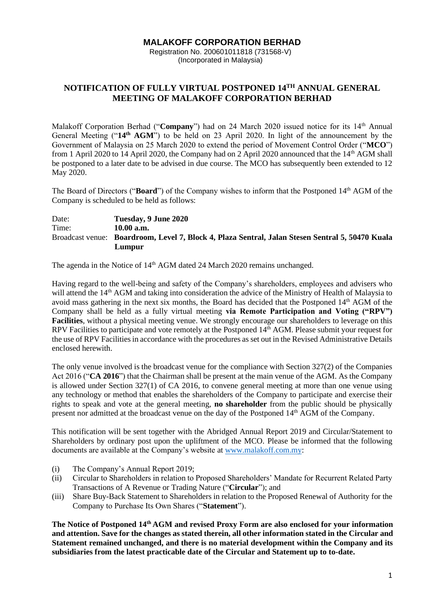## **MALAKOFF CORPORATION BERHAD**

Registration No. 200601011818 (731568-V) (Incorporated in Malaysia)

## **NOTIFICATION OF FULLY VIRTUAL POSTPONED 14TH ANNUAL GENERAL MEETING OF MALAKOFF CORPORATION BERHAD**

Malakoff Corporation Berhad ("**Company**") had on 24 March 2020 issued notice for its 14<sup>th</sup> Annual General Meeting ("**14th AGM**") to be held on 23 April 2020. In light of the announcement by the Government of Malaysia on 25 March 2020 to extend the period of Movement Control Order ("**MCO**") from 1 April 2020 to 14 April 2020, the Company had on 2 April 2020 announced that the 14<sup>th</sup> AGM shall be postponed to a later date to be advised in due course. The MCO has subsequently been extended to 12 May 2020.

The Board of Directors ("**Board**") of the Company wishes to inform that the Postponed 14th AGM of the Company is scheduled to be held as follows:

Date: **Tuesday, 9 June 2020** Time: **10.00 a.m.** Broadcast venue: **Boardroom, Level 7, Block 4, Plaza Sentral, Jalan Stesen Sentral 5, 50470 Kuala Lumpur**

The agenda in the Notice of 14<sup>th</sup> AGM dated 24 March 2020 remains unchanged.

Having regard to the well-being and safety of the Company's shareholders, employees and advisers who will attend the 14<sup>th</sup> AGM and taking into consideration the advice of the Ministry of Health of Malaysia to avoid mass gathering in the next six months, the Board has decided that the Postponed 14<sup>th</sup> AGM of the Company shall be held as a fully virtual meeting **via Remote Participation and Voting ("RPV") Facilities**, without a physical meeting venue. We strongly encourage our shareholders to leverage on this RPV Facilities to participate and vote remotely at the Postponed 14<sup>th</sup> AGM. Please submit your request for the use of RPV Facilities in accordance with the procedures as set out in the Revised Administrative Details enclosed herewith.

The only venue involved is the broadcast venue for the compliance with Section 327(2) of the Companies Act 2016 ("**CA 2016**") that the Chairman shall be present at the main venue of the AGM. As the Company is allowed under Section 327(1) of CA 2016, to convene general meeting at more than one venue using any technology or method that enables the shareholders of the Company to participate and exercise their rights to speak and vote at the general meeting, **no shareholder** from the public should be physically present nor admitted at the broadcast venue on the day of the Postponed 14<sup>th</sup> AGM of the Company.

This notification will be sent together with the Abridged Annual Report 2019 and Circular/Statement to Shareholders by ordinary post upon the upliftment of the MCO. Please be informed that the following documents are available at the Company's website at [www.malakoff.com.my:](http://www.malakoff.com.my/)

- (i) The Company's Annual Report 2019;
- (ii) Circular to Shareholders in relation to Proposed Shareholders' Mandate for Recurrent Related Party Transactions of A Revenue or Trading Nature ("**Circular**"); and
- (iii) Share Buy-Back Statement to Shareholders in relation to the Proposed Renewal of Authority for the Company to Purchase Its Own Shares ("**Statement**").

**The Notice of Postponed 14th AGM and revised Proxy Form are also enclosed for your information and attention. Save for the changes as stated therein, all other information stated in the Circular and Statement remained unchanged, and there is no material development within the Company and its subsidiaries from the latest practicable date of the Circular and Statement up to to-date.**